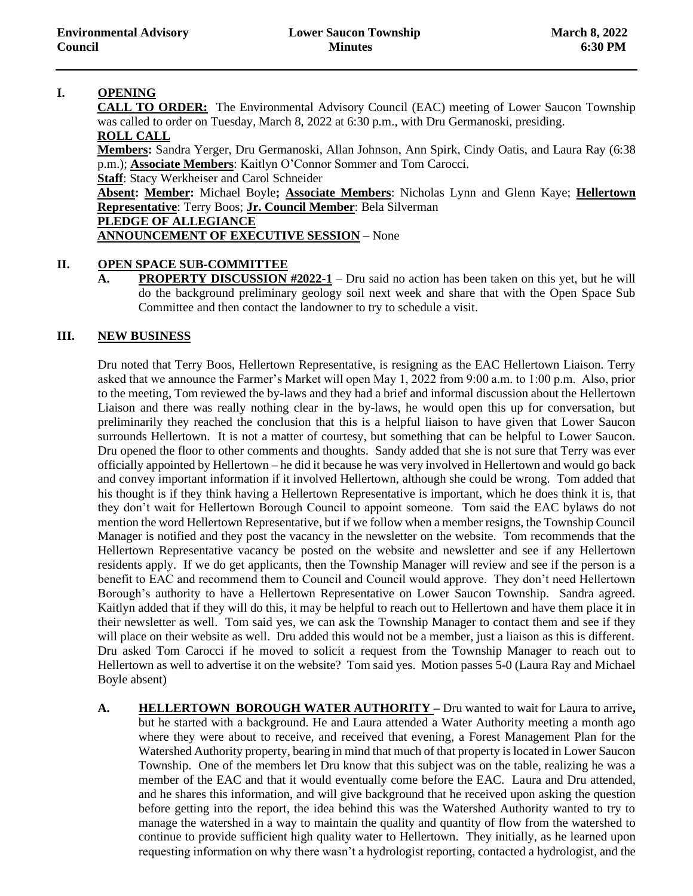# **I. OPENING**

**CALL TO ORDER:** The Environmental Advisory Council (EAC) meeting of Lower Saucon Township was called to order on Tuesday, March 8, 2022 at 6:30 p.m., with Dru Germanoski, presiding. **ROLL CALL** 

**Members:** Sandra Yerger, Dru Germanoski, Allan Johnson, Ann Spirk, Cindy Oatis, and Laura Ray (6:38 p.m.); **Associate Members**: Kaitlyn O'Connor Sommer and Tom Carocci.

**Staff**: Stacy Werkheiser and Carol Schneider

**Absent: Member:** Michael Boyle**; Associate Members**: Nicholas Lynn and Glenn Kaye; **Hellertown Representative**: Terry Boos; **Jr. Council Member**: Bela Silverman **PLEDGE OF ALLEGIANCE**

**ANNOUNCEMENT OF EXECUTIVE SESSION –** None

# **II. OPEN SPACE SUB-COMMITTEE**

**A. PROPERTY DISCUSSION #2022-1** – Dru said no action has been taken on this yet, but he will do the background preliminary geology soil next week and share that with the Open Space Sub Committee and then contact the landowner to try to schedule a visit.

# **III. NEW BUSINESS**

Dru noted that Terry Boos, Hellertown Representative, is resigning as the EAC Hellertown Liaison. Terry asked that we announce the Farmer's Market will open May 1, 2022 from 9:00 a.m. to 1:00 p.m. Also, prior to the meeting, Tom reviewed the by-laws and they had a brief and informal discussion about the Hellertown Liaison and there was really nothing clear in the by-laws, he would open this up for conversation, but preliminarily they reached the conclusion that this is a helpful liaison to have given that Lower Saucon surrounds Hellertown. It is not a matter of courtesy, but something that can be helpful to Lower Saucon. Dru opened the floor to other comments and thoughts. Sandy added that she is not sure that Terry was ever officially appointed by Hellertown – he did it because he was very involved in Hellertown and would go back and convey important information if it involved Hellertown, although she could be wrong. Tom added that his thought is if they think having a Hellertown Representative is important, which he does think it is, that they don't wait for Hellertown Borough Council to appoint someone. Tom said the EAC bylaws do not mention the word Hellertown Representative, but if we follow when a member resigns, the Township Council Manager is notified and they post the vacancy in the newsletter on the website. Tom recommends that the Hellertown Representative vacancy be posted on the website and newsletter and see if any Hellertown residents apply. If we do get applicants, then the Township Manager will review and see if the person is a benefit to EAC and recommend them to Council and Council would approve. They don't need Hellertown Borough's authority to have a Hellertown Representative on Lower Saucon Township. Sandra agreed. Kaitlyn added that if they will do this, it may be helpful to reach out to Hellertown and have them place it in their newsletter as well. Tom said yes, we can ask the Township Manager to contact them and see if they will place on their website as well. Dru added this would not be a member, just a liaison as this is different. Dru asked Tom Carocci if he moved to solicit a request from the Township Manager to reach out to Hellertown as well to advertise it on the website? Tom said yes. Motion passes 5-0 (Laura Ray and Michael Boyle absent)

**A. HELLERTOWN BOROUGH WATER AUTHORITY –** Dru wanted to wait for Laura to arrive**,**  but he started with a background. He and Laura attended a Water Authority meeting a month ago where they were about to receive, and received that evening, a Forest Management Plan for the Watershed Authority property, bearing in mind that much of that property is located in Lower Saucon Township. One of the members let Dru know that this subject was on the table, realizing he was a member of the EAC and that it would eventually come before the EAC. Laura and Dru attended, and he shares this information, and will give background that he received upon asking the question before getting into the report, the idea behind this was the Watershed Authority wanted to try to manage the watershed in a way to maintain the quality and quantity of flow from the watershed to continue to provide sufficient high quality water to Hellertown. They initially, as he learned upon requesting information on why there wasn't a hydrologist reporting, contacted a hydrologist, and the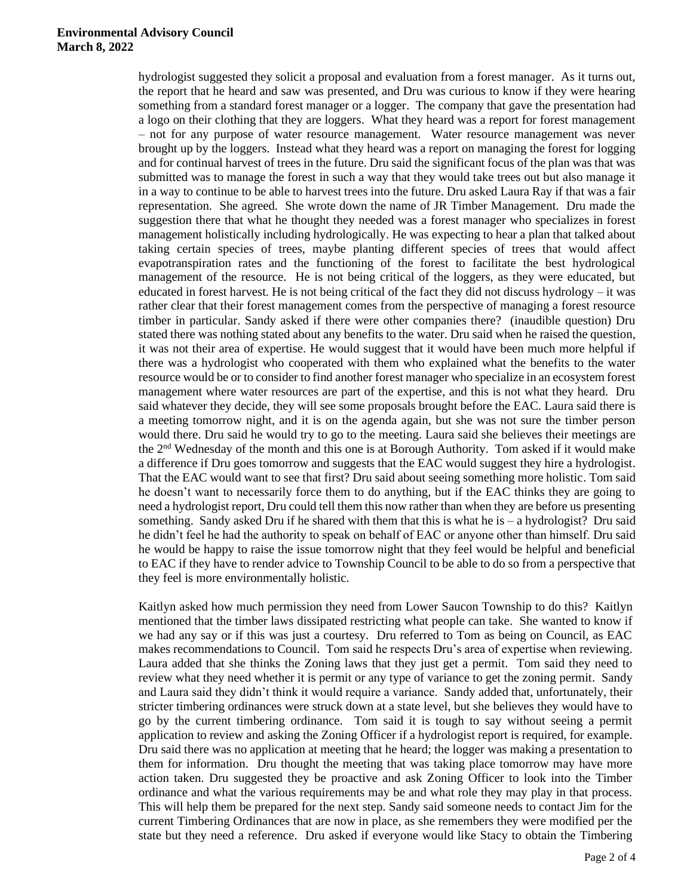#### **Environmental Advisory Council March 8, 2022**

hydrologist suggested they solicit a proposal and evaluation from a forest manager. As it turns out, the report that he heard and saw was presented, and Dru was curious to know if they were hearing something from a standard forest manager or a logger. The company that gave the presentation had a logo on their clothing that they are loggers. What they heard was a report for forest management – not for any purpose of water resource management. Water resource management was never brought up by the loggers. Instead what they heard was a report on managing the forest for logging and for continual harvest of trees in the future. Dru said the significant focus of the plan was that was submitted was to manage the forest in such a way that they would take trees out but also manage it in a way to continue to be able to harvest trees into the future. Dru asked Laura Ray if that was a fair representation. She agreed. She wrote down the name of JR Timber Management. Dru made the suggestion there that what he thought they needed was a forest manager who specializes in forest management holistically including hydrologically. He was expecting to hear a plan that talked about taking certain species of trees, maybe planting different species of trees that would affect evapotranspiration rates and the functioning of the forest to facilitate the best hydrological management of the resource. He is not being critical of the loggers, as they were educated, but educated in forest harvest. He is not being critical of the fact they did not discuss hydrology – it was rather clear that their forest management comes from the perspective of managing a forest resource timber in particular. Sandy asked if there were other companies there? (inaudible question) Dru stated there was nothing stated about any benefits to the water. Dru said when he raised the question, it was not their area of expertise. He would suggest that it would have been much more helpful if there was a hydrologist who cooperated with them who explained what the benefits to the water resource would be or to consider to find another forest manager who specialize in an ecosystem forest management where water resources are part of the expertise, and this is not what they heard. Dru said whatever they decide, they will see some proposals brought before the EAC. Laura said there is a meeting tomorrow night, and it is on the agenda again, but she was not sure the timber person would there. Dru said he would try to go to the meeting. Laura said she believes their meetings are the 2nd Wednesday of the month and this one is at Borough Authority. Tom asked if it would make a difference if Dru goes tomorrow and suggests that the EAC would suggest they hire a hydrologist. That the EAC would want to see that first? Dru said about seeing something more holistic. Tom said he doesn't want to necessarily force them to do anything, but if the EAC thinks they are going to need a hydrologist report, Dru could tell them this now rather than when they are before us presenting something. Sandy asked Dru if he shared with them that this is what he is – a hydrologist? Dru said he didn't feel he had the authority to speak on behalf of EAC or anyone other than himself. Dru said he would be happy to raise the issue tomorrow night that they feel would be helpful and beneficial to EAC if they have to render advice to Township Council to be able to do so from a perspective that they feel is more environmentally holistic.

Kaitlyn asked how much permission they need from Lower Saucon Township to do this? Kaitlyn mentioned that the timber laws dissipated restricting what people can take. She wanted to know if we had any say or if this was just a courtesy. Dru referred to Tom as being on Council, as EAC makes recommendations to Council. Tom said he respects Dru's area of expertise when reviewing. Laura added that she thinks the Zoning laws that they just get a permit. Tom said they need to review what they need whether it is permit or any type of variance to get the zoning permit. Sandy and Laura said they didn't think it would require a variance. Sandy added that, unfortunately, their stricter timbering ordinances were struck down at a state level, but she believes they would have to go by the current timbering ordinance. Tom said it is tough to say without seeing a permit application to review and asking the Zoning Officer if a hydrologist report is required, for example. Dru said there was no application at meeting that he heard; the logger was making a presentation to them for information. Dru thought the meeting that was taking place tomorrow may have more action taken. Dru suggested they be proactive and ask Zoning Officer to look into the Timber ordinance and what the various requirements may be and what role they may play in that process. This will help them be prepared for the next step. Sandy said someone needs to contact Jim for the current Timbering Ordinances that are now in place, as she remembers they were modified per the state but they need a reference. Dru asked if everyone would like Stacy to obtain the Timbering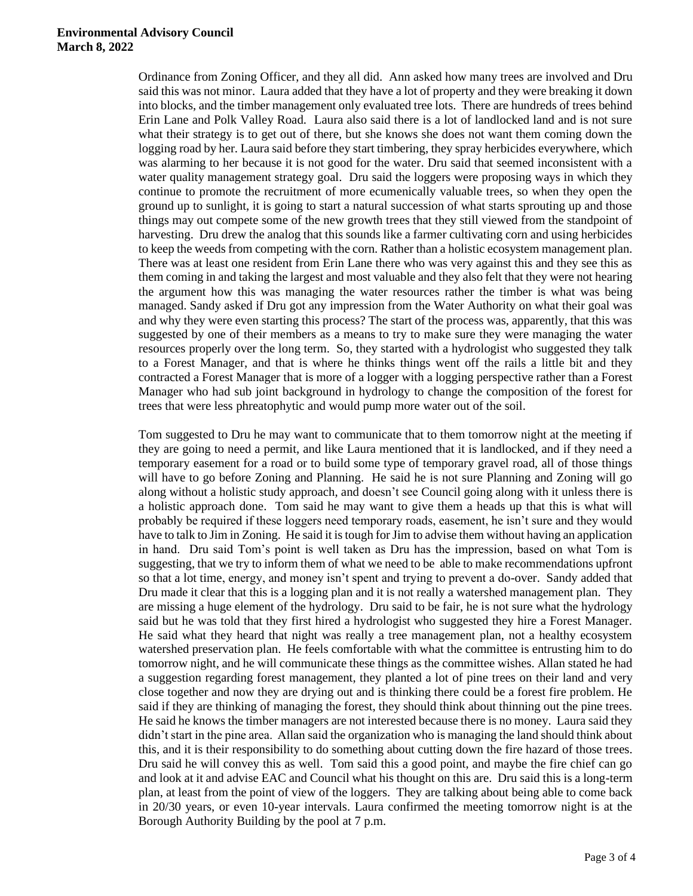#### **Environmental Advisory Council March 8, 2022**

Ordinance from Zoning Officer, and they all did. Ann asked how many trees are involved and Dru said this was not minor. Laura added that they have a lot of property and they were breaking it down into blocks, and the timber management only evaluated tree lots. There are hundreds of trees behind Erin Lane and Polk Valley Road. Laura also said there is a lot of landlocked land and is not sure what their strategy is to get out of there, but she knows she does not want them coming down the logging road by her. Laura said before they start timbering, they spray herbicides everywhere, which was alarming to her because it is not good for the water. Dru said that seemed inconsistent with a water quality management strategy goal. Dru said the loggers were proposing ways in which they continue to promote the recruitment of more ecumenically valuable trees, so when they open the ground up to sunlight, it is going to start a natural succession of what starts sprouting up and those things may out compete some of the new growth trees that they still viewed from the standpoint of harvesting. Dru drew the analog that this sounds like a farmer cultivating corn and using herbicides to keep the weeds from competing with the corn. Rather than a holistic ecosystem management plan. There was at least one resident from Erin Lane there who was very against this and they see this as them coming in and taking the largest and most valuable and they also felt that they were not hearing the argument how this was managing the water resources rather the timber is what was being managed. Sandy asked if Dru got any impression from the Water Authority on what their goal was and why they were even starting this process? The start of the process was, apparently, that this was suggested by one of their members as a means to try to make sure they were managing the water resources properly over the long term. So, they started with a hydrologist who suggested they talk to a Forest Manager, and that is where he thinks things went off the rails a little bit and they contracted a Forest Manager that is more of a logger with a logging perspective rather than a Forest Manager who had sub joint background in hydrology to change the composition of the forest for trees that were less phreatophytic and would pump more water out of the soil.

Tom suggested to Dru he may want to communicate that to them tomorrow night at the meeting if they are going to need a permit, and like Laura mentioned that it is landlocked, and if they need a temporary easement for a road or to build some type of temporary gravel road, all of those things will have to go before Zoning and Planning. He said he is not sure Planning and Zoning will go along without a holistic study approach, and doesn't see Council going along with it unless there is a holistic approach done. Tom said he may want to give them a heads up that this is what will probably be required if these loggers need temporary roads, easement, he isn't sure and they would have to talk to Jim in Zoning. He said it is tough for Jim to advise them without having an application in hand. Dru said Tom's point is well taken as Dru has the impression, based on what Tom is suggesting, that we try to inform them of what we need to be able to make recommendations upfront so that a lot time, energy, and money isn't spent and trying to prevent a do-over. Sandy added that Dru made it clear that this is a logging plan and it is not really a watershed management plan. They are missing a huge element of the hydrology. Dru said to be fair, he is not sure what the hydrology said but he was told that they first hired a hydrologist who suggested they hire a Forest Manager. He said what they heard that night was really a tree management plan, not a healthy ecosystem watershed preservation plan. He feels comfortable with what the committee is entrusting him to do tomorrow night, and he will communicate these things as the committee wishes. Allan stated he had a suggestion regarding forest management, they planted a lot of pine trees on their land and very close together and now they are drying out and is thinking there could be a forest fire problem. He said if they are thinking of managing the forest, they should think about thinning out the pine trees. He said he knows the timber managers are not interested because there is no money. Laura said they didn't start in the pine area. Allan said the organization who is managing the land should think about this, and it is their responsibility to do something about cutting down the fire hazard of those trees. Dru said he will convey this as well. Tom said this a good point, and maybe the fire chief can go and look at it and advise EAC and Council what his thought on this are. Dru said this is a long-term plan, at least from the point of view of the loggers. They are talking about being able to come back in 20/30 years, or even 10-year intervals. Laura confirmed the meeting tomorrow night is at the Borough Authority Building by the pool at 7 p.m.